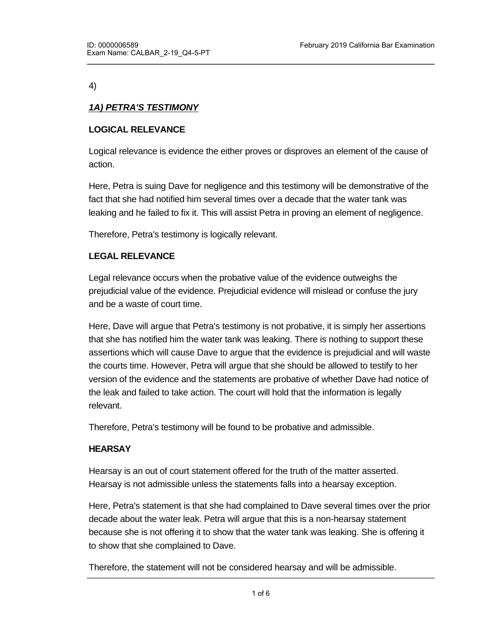4)

# *1A) PETRA'S TESTIMONY*

# **LOGICAL RELEVANCE**

Logical relevance is evidence the either proves or disproves an element of the cause of action.

Here, Petra is suing Dave for negligence and this testimony will be demonstrative of the fact that she had notified him several times over a decade that the water tank was leaking and he failed to fix it. This will assist Petra in proving an element of negligence.

Therefore, Petra's testimony is logically relevant.

## **LEGAL RELEVANCE**

Legal relevance occurs when the probative value of the evidence outweighs the prejudicial value of the evidence. Prejudicial evidence will mislead or confuse the jury and be a waste of court time.

Here, Dave will argue that Petra's testimony is not probative, it is simply her assertions that she has notified him the water tank was leaking. There is nothing to support these assertions which will cause Dave to argue that the evidence is prejudicial and will waste the courts time. However, Petra will argue that she should be allowed to testify to her version of the evidence and the statements are probative of whether Dave had notice of the leak and failed to take action. The court will hold that the information is legally relevant.

Therefore, Petra's testimony will be found to be probative and admissible.

# **HEARSAY**

Hearsay is an out of court statement offered for the truth of the matter asserted. Hearsay is not admissible unless the statements falls into a hearsay exception.

Here, Petra's statement is that she had complained to Dave several times over the prior decade about the water leak. Petra will argue that this is a non-hearsay statement because she is not offering it to show that the water tank was leaking. She is offering it to show that she complained to Dave.

Therefore, the statement will not be considered hearsay and will be admissible.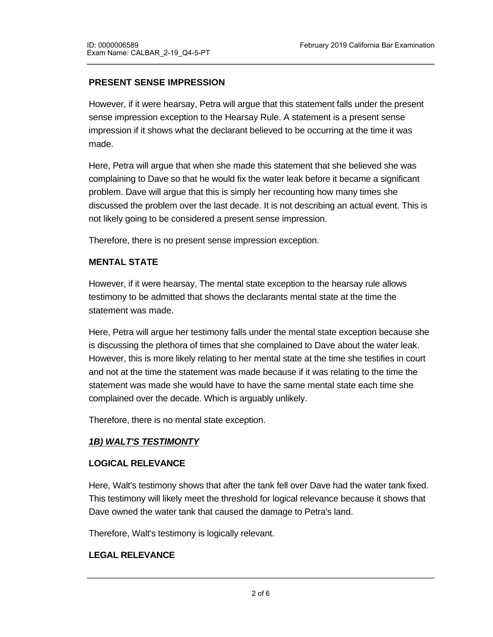# **PRESENT SENSE IMPRESSION**

However, if it were hearsay, Petra will argue that this statement falls under the present sense impression exception to the Hearsay Rule. A statement is a present sense impression if it shows what the declarant believed to be occurring at the time it was made.

Here, Petra will argue that when she made this statement that she believed she was complaining to Dave so that he would fix the water leak before it became a significant problem. Dave will argue that this is simply her recounting how many times she discussed the problem over the last decade. It is not describing an actual event. This is not likely going to be considered a present sense impression.

Therefore, there is no present sense impression exception.

# **MENTAL STATE**

However, if it were hearsay, The mental state exception to the hearsay rule allows testimony to be admitted that shows the declarants mental state at the time the statement was made.

Here, Petra will argue her testimony falls under the mental state exception because she is discussing the plethora of times that she complained to Dave about the water leak. However, this is more likely relating to her mental state at the time she testifies in court and not at the time the statement was made because if it was relating to the time the statement was made she would have to have the same mental state each time she complained over the decade. Which is arguably unlikely.

Therefore, there is no mental state exception.

# *1B) WALT'S TESTIMONTY*

### **LOGICAL RELEVANCE**

Here, Walt's testimony shows that after the tank fell over Dave had the water tank fixed. This testimony will likely meet the threshold for logical relevance because it shows that Dave owned the water tank that caused the damage to Petra's land.

Therefore, Walt's testimony is logically relevant.

### **LEGAL RELEVANCE**

Here, Walt's testimony will be considered probative because it shows that Dave owned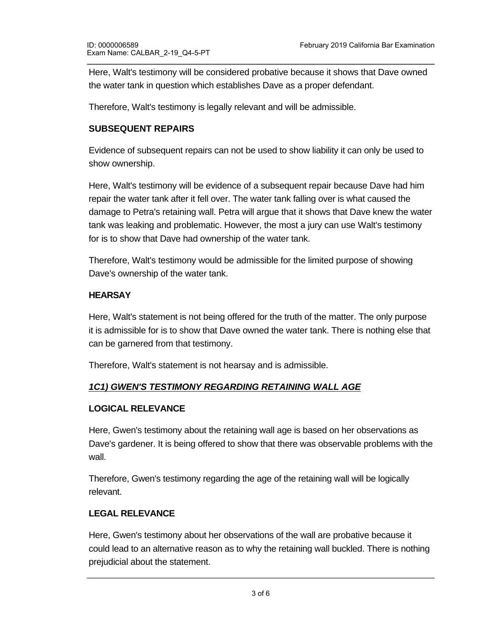Here, Walt's testimony will be considered probative because it shows that Dave owned the water tank in question which establishes Dave as a proper defendant.

Therefore, Walt's testimony is legally relevant and will be admissible.

## **SUBSEQUENT REPAIRS**

Evidence of subsequent repairs can not be used to show liability it can only be used to show ownership.

Here, Walt's testimony will be evidence of a subsequent repair because Dave had him repair the water tank after it fell over. The water tank falling over is what caused the damage to Petra's retaining wall. Petra will argue that it shows that Dave knew the water tank was leaking and problematic. However, the most a jury can use Walt's testimony for is to show that Dave had ownership of the water tank.

Therefore, Walt's testimony would be admissible for the limited purpose of showing Dave's ownership of the water tank.

### **HEARSAY**

Here, Walt's statement is not being offered for the truth of the matter. The only purpose it is admissible for is to show that Dave owned the water tank. There is nothing else that can be garnered from that testimony.

Therefore, Walt's statement is not hearsay and is admissible.

# *1C1) GWEN'S TESTIMONY REGARDING RETAINING WALL AGE*

### **LOGICAL RELEVANCE**

Here, Gwen's testimony about the retaining wall age is based on her observations as Dave's gardener. It is being offered to show that there was observable problems with the wall.

Therefore, Gwen's testimony regarding the age of the retaining wall will be logically relevant.

### **LEGAL RELEVANCE**

Here, Gwen's testimony about her observations of the wall are probative because it could lead to an alternative reason as to why the retaining wall buckled. There is nothing prejudicial about the statement.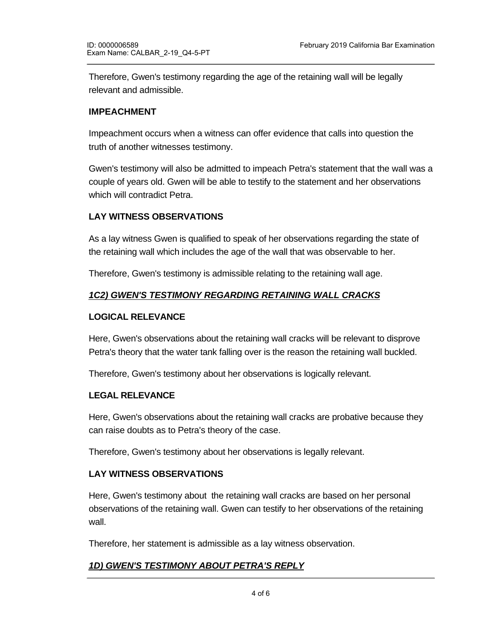Therefore, Gwen's testimony regarding the age of the retaining wall will be legally relevant and admissible.

### **IMPEACHMENT**

Impeachment occurs when a witness can offer evidence that calls into question the truth of another witnesses testimony.

Gwen's testimony will also be admitted to impeach Petra's statement that the wall was a couple of years old. Gwen will be able to testify to the statement and her observations which will contradict Petra.

## **LAY WITNESS OBSERVATIONS**

As a lay witness Gwen is qualified to speak of her observations regarding the state of the retaining wall which includes the age of the wall that was observable to her.

Therefore, Gwen's testimony is admissible relating to the retaining wall age.

## *1C2) GWEN'S TESTIMONY REGARDING RETAINING WALL CRACKS*

#### **LOGICAL RELEVANCE**

Here, Gwen's observations about the retaining wall cracks will be relevant to disprove Petra's theory that the water tank falling over is the reason the retaining wall buckled.

Therefore, Gwen's testimony about her observations is logically relevant.

#### **LEGAL RELEVANCE**

Here, Gwen's observations about the retaining wall cracks are probative because they can raise doubts as to Petra's theory of the case.

Therefore, Gwen's testimony about her observations is legally relevant.

### **LAY WITNESS OBSERVATIONS**

Here, Gwen's testimony about the retaining wall cracks are based on her personal observations of the retaining wall. Gwen can testify to her observations of the retaining wall.

Therefore, her statement is admissible as a lay witness observation.

### *1D) GWEN'S TESTIMONY ABOUT PETRA'S REPLY*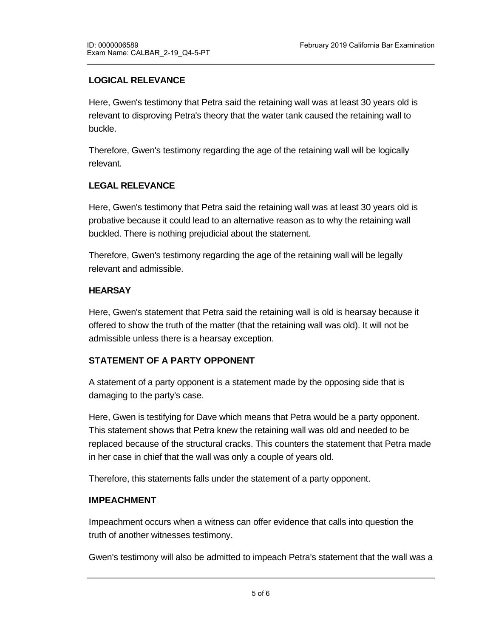# **LOGICAL RELEVANCE**

Here, Gwen's testimony that Petra said the retaining wall was at least 30 years old is relevant to disproving Petra's theory that the water tank caused the retaining wall to buckle.

Therefore, Gwen's testimony regarding the age of the retaining wall will be logically relevant.

## **LEGAL RELEVANCE**

Here, Gwen's testimony that Petra said the retaining wall was at least 30 years old is probative because it could lead to an alternative reason as to why the retaining wall buckled. There is nothing prejudicial about the statement.

Therefore, Gwen's testimony regarding the age of the retaining wall will be legally relevant and admissible.

### **HEARSAY**

Here, Gwen's statement that Petra said the retaining wall is old is hearsay because it offered to show the truth of the matter (that the retaining wall was old). It will not be admissible unless there is a hearsay exception.

# **STATEMENT OF A PARTY OPPONENT**

A statement of a party opponent is a statement made by the opposing side that is damaging to the party's case.

Here, Gwen is testifying for Dave which means that Petra would be a party opponent. This statement shows that Petra knew the retaining wall was old and needed to be replaced because of the structural cracks. This counters the statement that Petra made in her case in chief that the wall was only a couple of years old.

Therefore, this statements falls under the statement of a party opponent.

### **IMPEACHMENT**

Impeachment occurs when a witness can offer evidence that calls into question the truth of another witnesses testimony.

Gwen's testimony will also be admitted to impeach Petra's statement that the wall was a